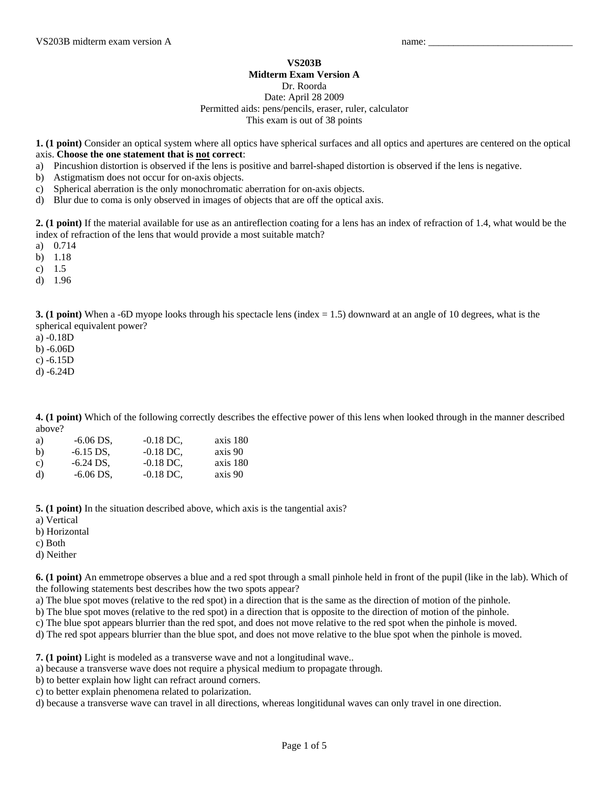## **VS203B**

## **Midterm Exam Version A**

Dr. Roorda

## Date: April 28 2009 Permitted aids: pens/pencils, eraser, ruler, calculator This exam is out of 38 points

**1. (1 point)** Consider an optical system where all optics have spherical surfaces and all optics and apertures are centered on the optical axis. **Choose the one statement that is not correct**:

- a) Pincushion distortion is observed if the lens is positive and barrel-shaped distortion is observed if the lens is negative.
- b) Astigmatism does not occur for on-axis objects.
- c) Spherical aberration is the only monochromatic aberration for on-axis objects.
- d) Blur due to coma is only observed in images of objects that are off the optical axis.

**2. (1 point)** If the material available for use as an antireflection coating for a lens has an index of refraction of 1.4, what would be the index of refraction of the lens that would provide a most suitable match?

- a) 0.714
- b) 1.18
- c) 1.5
- d) 1.96

**3. (1 point)** When a -6D myope looks through his spectacle lens (index = 1.5) downward at an angle of 10 degrees, what is the spherical equivalent power?

a) -0.18D

b) -6.06D

c) -6.15D

d) -6.24D

**4. (1 point)** Which of the following correctly describes the effective power of this lens when looked through in the manner described above?

| a)           | $-6.06$ DS, | $-0.18$ DC. | axis 180 |
|--------------|-------------|-------------|----------|
| b)           | $-6.15$ DS. | $-0.18$ DC. | axis 90  |
| $\mathbf{c}$ | $-6.24$ DS. | $-0.18$ DC. | axis 180 |
| d)           | $-6.06$ DS, | $-0.18$ DC, | axis 90  |

**5. (1 point)** In the situation described above, which axis is the tangential axis?

- a) Vertical
- b) Horizontal
- c) Both
- d) Neither

**6. (1 point)** An emmetrope observes a blue and a red spot through a small pinhole held in front of the pupil (like in the lab). Which of the following statements best describes how the two spots appear?

a) The blue spot moves (relative to the red spot) in a direction that is the same as the direction of motion of the pinhole.

b) The blue spot moves (relative to the red spot) in a direction that is opposite to the direction of motion of the pinhole.

c) The blue spot appears blurrier than the red spot, and does not move relative to the red spot when the pinhole is moved.

d) The red spot appears blurrier than the blue spot, and does not move relative to the blue spot when the pinhole is moved.

**7. (1 point)** Light is modeled as a transverse wave and not a longitudinal wave..

a) because a transverse wave does not require a physical medium to propagate through.

b) to better explain how light can refract around corners.

c) to better explain phenomena related to polarization.

d) because a transverse wave can travel in all directions, whereas longitidunal waves can only travel in one direction.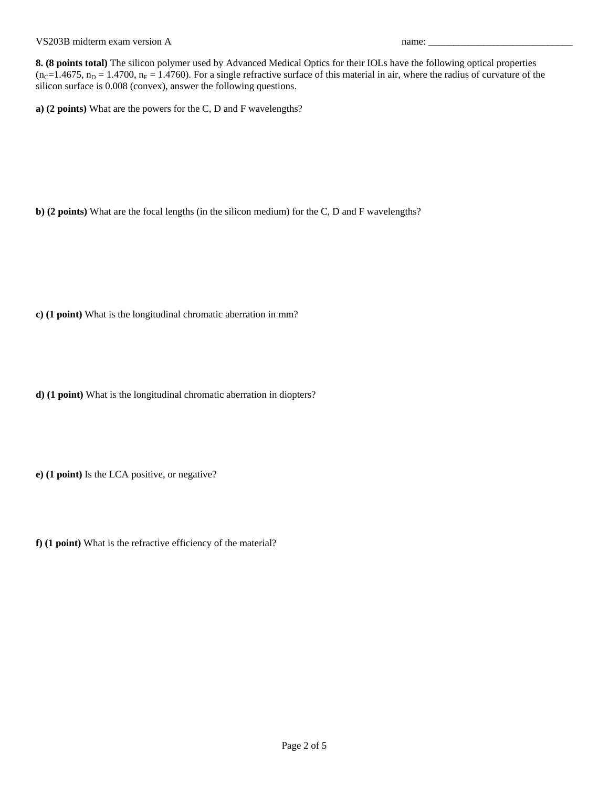VS203B midterm exam version A name:

**8. (8 points total)** The silicon polymer used by Advanced Medical Optics for their IOLs have the following optical properties  $(n_c=1.4675, n_D = 1.4700, n_F = 1.4760)$ . For a single refractive surface of this material in air, where the radius of curvature of the silicon surface is 0.008 (convex), answer the following questions.

**a) (2 points)** What are the powers for the C, D and F wavelengths?

**b) (2 points)** What are the focal lengths (in the silicon medium) for the C, D and F wavelengths?

**c) (1 point)** What is the longitudinal chromatic aberration in mm?

**d) (1 point)** What is the longitudinal chromatic aberration in diopters?

**e) (1 point)** Is the LCA positive, or negative?

**f) (1 point)** What is the refractive efficiency of the material?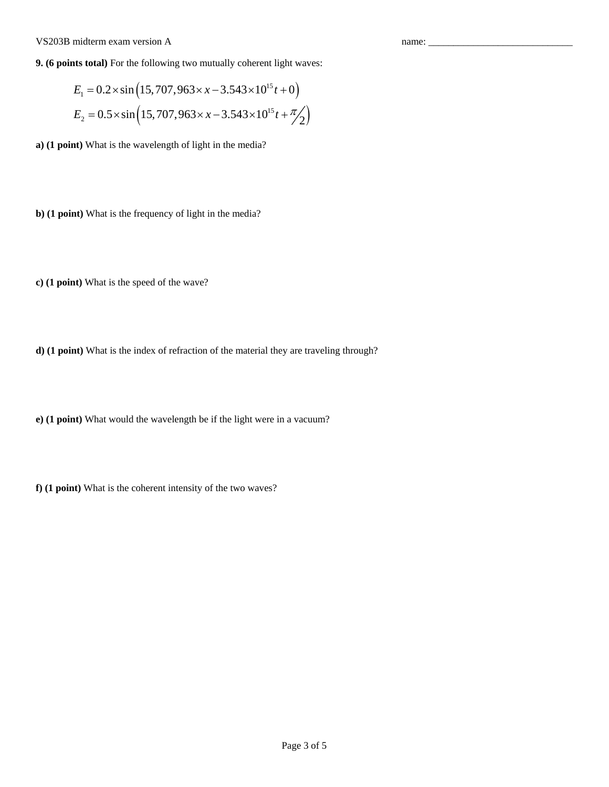## VS203B midterm exam version A name: \_\_\_\_\_\_\_\_\_\_\_\_\_\_\_\_\_\_\_\_\_\_\_\_\_\_\_\_\_

**9. (6 points total)** For the following two mutually coherent light waves:

$$
E_1 = 0.2 \times \sin\left(15,707,963 \times x - 3.543 \times 10^{15} t + 0\right)
$$
  

$$
E_2 = 0.5 \times \sin\left(15,707,963 \times x - 3.543 \times 10^{15} t + \frac{\pi}{2}\right)
$$

**a) (1 point)** What is the wavelength of light in the media?

**b) (1 point)** What is the frequency of light in the media?

**c) (1 point)** What is the speed of the wave?

**d) (1 point)** What is the index of refraction of the material they are traveling through?

**e) (1 point)** What would the wavelength be if the light were in a vacuum?

**f) (1 point)** What is the coherent intensity of the two waves?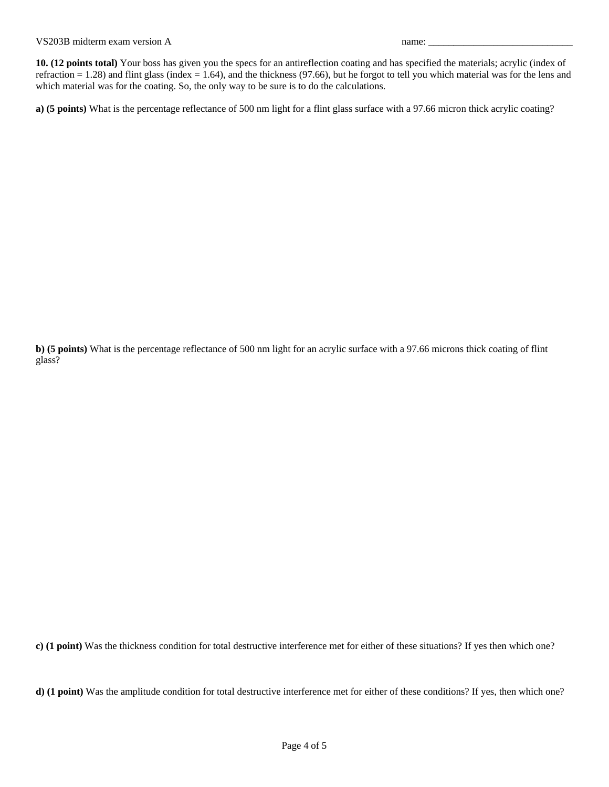**10. (12 points total)** Your boss has given you the specs for an antireflection coating and has specified the materials; acrylic (index of refraction  $= 1.28$ ) and flint glass (index  $= 1.64$ ), and the thickness (97.66), but he forgot to tell you which material was for the lens and which material was for the coating. So, the only way to be sure is to do the calculations.

**a) (5 points)** What is the percentage reflectance of 500 nm light for a flint glass surface with a 97.66 micron thick acrylic coating?

**b) (5 points)** What is the percentage reflectance of 500 nm light for an acrylic surface with a 97.66 microns thick coating of flint glass?

**c) (1 point)** Was the thickness condition for total destructive interference met for either of these situations? If yes then which one?

**d) (1 point)** Was the amplitude condition for total destructive interference met for either of these conditions? If yes, then which one?